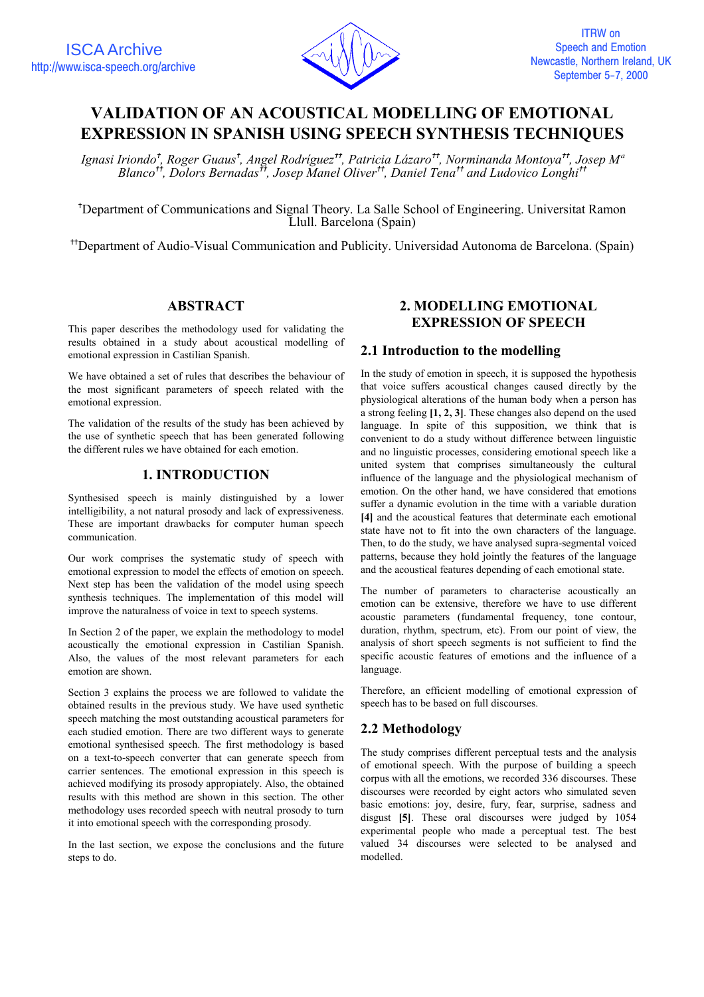

# **VALIDATION OF AN ACOUSTICAL MODELLING OF EMOTIONAL EXPRESSION IN SPANISH USING SPEECH SYNTHESIS TECHNIQUES**

*Ignasi Iriondo*✝ *, Roger Guaus*✝ *, Angel Rodríguez*✝✝ *, Patricia Lázaro*✝✝ *, Norminanda Montoya*✝✝ *, Josep Mª Blanco*✝✝ *, Dolors Bernadas*✝✝ *, Josep Manel Oliver*✝✝ *, Daniel Tena*✝✝ *and Ludovico Longhi*✝✝

✝ Department of Communications and Signal Theory. La Salle School of Engineering. Universitat Ramon Llull. Barcelona (Spain)

✝✝Department of Audio-Visual Communication and Publicity. Universidad Autonoma de Barcelona. (Spain)

# **ABSTRACT**

This paper describes the methodology used for validating the results obtained in a study about acoustical modelling of emotional expression in Castilian Spanish.

We have obtained a set of rules that describes the behaviour of the most significant parameters of speech related with the emotional expression.

The validation of the results of the study has been achieved by the use of synthetic speech that has been generated following the different rules we have obtained for each emotion.

### **1. INTRODUCTION**

Synthesised speech is mainly distinguished by a lower intelligibility, a not natural prosody and lack of expressiveness. These are important drawbacks for computer human speech communication.

Our work comprises the systematic study of speech with emotional expression to model the effects of emotion on speech. Next step has been the validation of the model using speech synthesis techniques. The implementation of this model will improve the naturalness of voice in text to speech systems.

In Section 2 of the paper, we explain the methodology to model acoustically the emotional expression in Castilian Spanish. Also, the values of the most relevant parameters for each emotion are shown.

Section 3 explains the process we are followed to validate the obtained results in the previous study. We have used synthetic speech matching the most outstanding acoustical parameters for each studied emotion. There are two different ways to generate emotional synthesised speech. The first methodology is based on a text-to-speech converter that can generate speech from carrier sentences. The emotional expression in this speech is achieved modifying its prosody appropiately. Also, the obtained results with this method are shown in this section. The other methodology uses recorded speech with neutral prosody to turn it into emotional speech with the corresponding prosody.

In the last section, we expose the conclusions and the future steps to do.

# **2. MODELLING EMOTIONAL EXPRESSION OF SPEECH**

### **2.1 Introduction to the modelling**

In the study of emotion in speech, it is supposed the hypothesis that voice suffers acoustical changes caused directly by the physiological alterations of the human body when a person has a strong feeling **[1, 2, 3]**. These changes also depend on the used language. In spite of this supposition, we think that is convenient to do a study without difference between linguistic and no linguistic processes, considering emotional speech like a united system that comprises simultaneously the cultural influence of the language and the physiological mechanism of emotion. On the other hand, we have considered that emotions suffer a dynamic evolution in the time with a variable duration **[4]** and the acoustical features that determinate each emotional state have not to fit into the own characters of the language. Then, to do the study, we have analysed supra-segmental voiced patterns, because they hold jointly the features of the language and the acoustical features depending of each emotional state.

The number of parameters to characterise acoustically an emotion can be extensive, therefore we have to use different acoustic parameters (fundamental frequency, tone contour, duration, rhythm, spectrum, etc). From our point of view, the analysis of short speech segments is not sufficient to find the specific acoustic features of emotions and the influence of a language.

Therefore, an efficient modelling of emotional expression of speech has to be based on full discourses.

# **2.2 Methodology**

The study comprises different perceptual tests and the analysis of emotional speech. With the purpose of building a speech corpus with all the emotions, we recorded 336 discourses. These discourses were recorded by eight actors who simulated seven basic emotions: joy, desire, fury, fear, surprise, sadness and disgust **[5]**. These oral discourses were judged by 1054 experimental people who made a perceptual test. The best valued 34 discourses were selected to be analysed and modelled.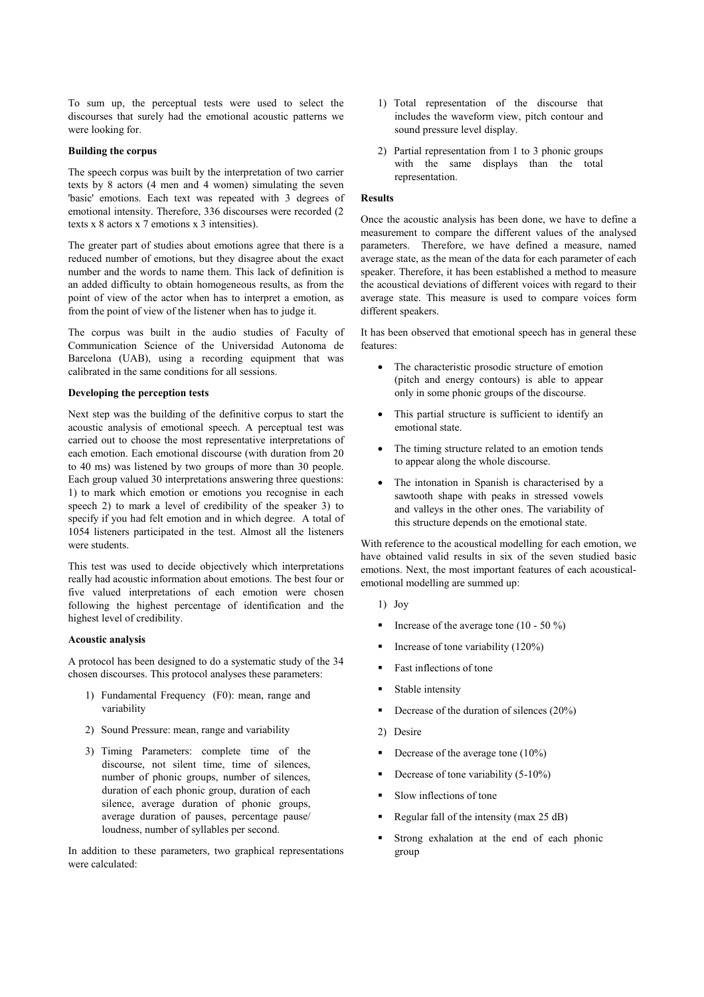To sum up, the perceptual tests were used to select the discourses that surely had the emotional acoustic patterns we were looking for.

### **Building the corpus**

The speech corpus was built by the interpretation of two carrier texts by 8 actors (4 men and 4 women) simulating the seven 'basic' emotions. Each text was repeated with 3 degrees of emotional intensity. Therefore, 336 discourses were recorded (2 texts x 8 actors x 7 emotions x 3 intensities).

The greater part of studies about emotions agree that there is a reduced number of emotions, but they disagree about the exact number and the words to name them. This lack of definition is an added difficulty to obtain homogeneous results, as from the point of view of the actor when has to interpret a emotion, as from the point of view of the listener when has to judge it.

The corpus was built in the audio studies of Faculty of Communication Science of the Universidad Autonoma de Barcelona (UAB), using a recording equipment that was calibrated in the same conditions for all sessions.

### **Developing the perception tests**

Next step was the building of the definitive corpus to start the acoustic analysis of emotional speech. A perceptual test was carried out to choose the most representative interpretations of each emotion. Each emotional discourse (with duration from 20 to 40 ms) was listened by two groups of more than 30 people. Each group valued 30 interpretations answering three questions: 1) to mark which emotion or emotions you recognise in each speech 2) to mark a level of credibility of the speaker 3) to specify if you had felt emotion and in which degree. A total of 1054 listeners participated in the test. Almost all the listeners were students.

This test was used to decide objectively which interpretations really had acoustic information about emotions. The best four or five valued interpretations of each emotion were chosen following the highest percentage of identification and the highest level of credibility.

#### **Acoustic analysis**

A protocol has been designed to do a systematic study of the 34 chosen discourses. This protocol analyses these parameters:

- 1) Fundamental Frequency (F0): mean, range and variability
- 2) Sound Pressure: mean, range and variability
- 3) Timing Parameters: complete time of the discourse, not silent time, time of silences, number of phonic groups, number of silences, duration of each phonic group, duration of each silence, average duration of phonic groups, average duration of pauses, percentage pause/ loudness, number of syllables per second.

In addition to these parameters, two graphical representations were calculated:

- 1) Total representation of the discourse that includes the waveform view, pitch contour and sound pressure level display.
- 2) Partial representation from 1 to 3 phonic groups with the same displays than the total representation.

#### **Results**

Once the acoustic analysis has been done, we have to define a measurement to compare the different values of the analysed parameters. Therefore, we have defined a measure, named average state, as the mean of the data for each parameter of each speaker. Therefore, it has been established a method to measure the acoustical deviations of different voices with regard to their average state. This measure is used to compare voices form different speakers.

It has been observed that emotional speech has in general these features:

- The characteristic prosodic structure of emotion (pitch and energy contours) is able to appear only in some phonic groups of the discourse.
- This partial structure is sufficient to identify an emotional state.
- The timing structure related to an emotion tends to appear along the whole discourse.
- The intonation in Spanish is characterised by a sawtooth shape with peaks in stressed vowels and valleys in the other ones. The variability of this structure depends on the emotional state.

With reference to the acoustical modelling for each emotion, we have obtained valid results in six of the seven studied basic emotions. Next, the most important features of each acousticalemotional modelling are summed up:

- 1) Joy
- Increase of the average tone (10 50 %)
- Increase of tone variability (120%)
- Fast inflections of tone
- Stable intensity
- Decrease of the duration of silences (20%)
- 2) Desire
- Decrease of the average tone (10%)
- Decrease of tone variability (5-10%)
- Slow inflections of tone
- Regular fall of the intensity (max 25 dB)
- Strong exhalation at the end of each phonic group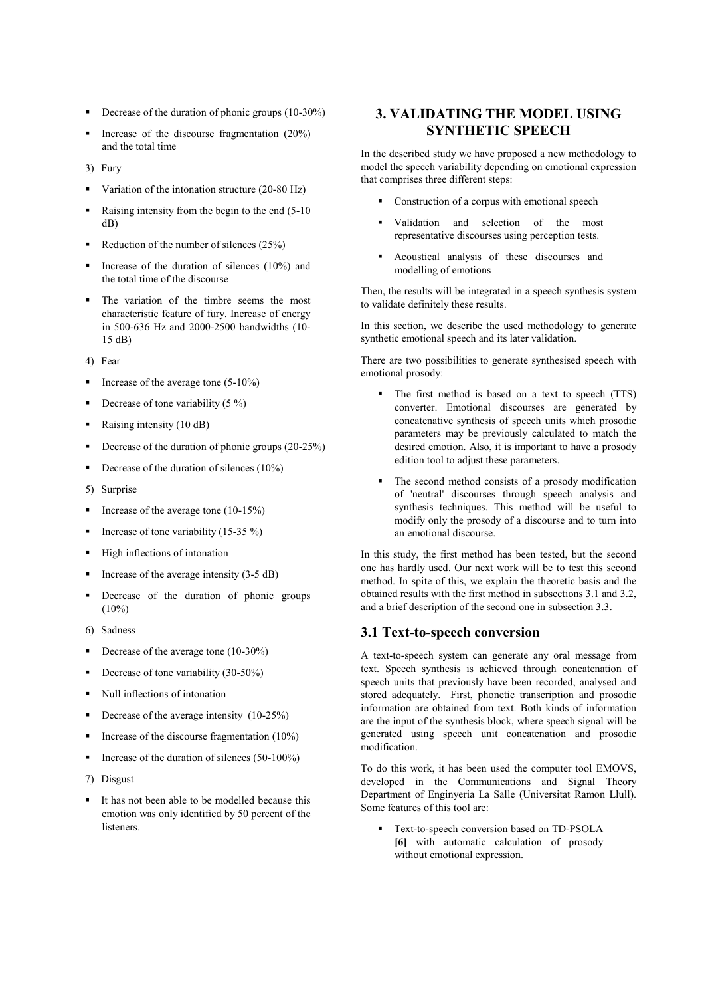- Decrease of the duration of phonic groups  $(10-30\%)$
- Increase of the discourse fragmentation (20%) and the total time
- 3) Fury
- Variation of the intonation structure (20-80 Hz)
- Raising intensity from the begin to the end (5-10) dB)
- Reduction of the number of silences  $(25%)$
- Increase of the duration of silences (10%) and the total time of the discourse
- The variation of the timbre seems the most characteristic feature of fury. Increase of energy in 500-636 Hz and 2000-2500 bandwidths (10- 15 dB)
- 4) Fear
- Increase of the average tone (5-10%)
- Decrease of tone variability  $(5 \%)$
- Raising intensity (10 dB)
- Decrease of the duration of phonic groups (20-25%)
- Decrease of the duration of silences  $(10\%)$
- 5) Surprise
- Increase of the average tone  $(10-15%)$
- Increase of tone variability (15-35 %)
- High inflections of intonation
- Increase of the average intensity  $(3-5 dB)$
- Decrease of the duration of phonic groups  $(10\%)$
- 6) Sadness
- Decrease of the average tone  $(10-30\%)$
- Decrease of tone variability (30-50%)
- Null inflections of intonation
- Decrease of the average intensity (10-25%)
- Increase of the discourse fragmentation  $(10\%)$
- Increase of the duration of silences  $(50-100\%)$
- 7) Disgust
- It has not been able to be modelled because this emotion was only identified by 50 percent of the listeners.

# **3. VALIDATING THE MODEL USING SYNTHETIC SPEECH**

In the described study we have proposed a new methodology to model the speech variability depending on emotional expression that comprises three different steps:

- **Construction of a corpus with emotional speech**
- Validation and selection of the most representative discourses using perception tests.
- Acoustical analysis of these discourses and modelling of emotions

Then, the results will be integrated in a speech synthesis system to validate definitely these results.

In this section, we describe the used methodology to generate synthetic emotional speech and its later validation.

There are two possibilities to generate synthesised speech with emotional prosody:

- The first method is based on a text to speech (TTS) converter. Emotional discourses are generated by concatenative synthesis of speech units which prosodic parameters may be previously calculated to match the desired emotion. Also, it is important to have a prosody edition tool to adjust these parameters.
- The second method consists of a prosody modification of 'neutral' discourses through speech analysis and synthesis techniques. This method will be useful to modify only the prosody of a discourse and to turn into an emotional discourse.

In this study, the first method has been tested, but the second one has hardly used. Our next work will be to test this second method. In spite of this, we explain the theoretic basis and the obtained results with the first method in subsections 3.1 and 3.2, and a brief description of the second one in subsection 3.3.

### **3.1 Text-to-speech conversion**

A text-to-speech system can generate any oral message from text. Speech synthesis is achieved through concatenation of speech units that previously have been recorded, analysed and stored adequately. First, phonetic transcription and prosodic information are obtained from text. Both kinds of information are the input of the synthesis block, where speech signal will be generated using speech unit concatenation and prosodic modification.

To do this work, it has been used the computer tool EMOVS, developed in the Communications and Signal Theory Department of Enginyeria La Salle (Universitat Ramon Llull). Some features of this tool are:

**Text-to-speech conversion based on TD-PSOLA [6]** with automatic calculation of prosody without emotional expression.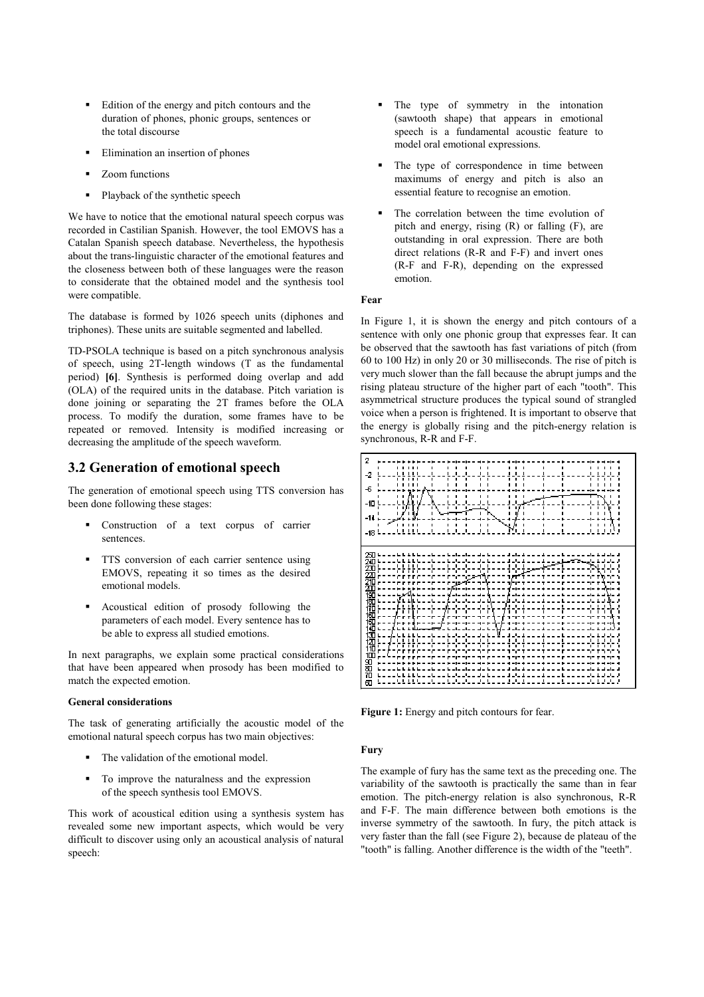- Edition of the energy and pitch contours and the duration of phones, phonic groups, sentences or the total discourse
- Elimination an insertion of phones
- Zoom functions
- Playback of the synthetic speech

We have to notice that the emotional natural speech corpus was recorded in Castilian Spanish. However, the tool EMOVS has a Catalan Spanish speech database. Nevertheless, the hypothesis about the trans-linguistic character of the emotional features and the closeness between both of these languages were the reason to considerate that the obtained model and the synthesis tool were compatible.

The database is formed by 1026 speech units (diphones and triphones). These units are suitable segmented and labelled.

TD-PSOLA technique is based on a pitch synchronous analysis of speech, using 2T-length windows (T as the fundamental period) **[6]**. Synthesis is performed doing overlap and add (OLA) of the required units in the database. Pitch variation is done joining or separating the 2T frames before the OLA process. To modify the duration, some frames have to be repeated or removed. Intensity is modified increasing or decreasing the amplitude of the speech waveform.

### **3.2 Generation of emotional speech**

The generation of emotional speech using TTS conversion has been done following these stages:

- Construction of a text corpus of carrier sentences.
- **TTS** conversion of each carrier sentence using EMOVS, repeating it so times as the desired emotional models.
- Acoustical edition of prosody following the parameters of each model. Every sentence has to be able to express all studied emotions.

In next paragraphs, we explain some practical considerations that have been appeared when prosody has been modified to match the expected emotion.

### **General considerations**

The task of generating artificially the acoustic model of the emotional natural speech corpus has two main objectives:

- The validation of the emotional model.
- To improve the naturalness and the expression of the speech synthesis tool EMOVS.

This work of acoustical edition using a synthesis system has revealed some new important aspects, which would be very difficult to discover using only an acoustical analysis of natural speech:

- The type of symmetry in the intonation (sawtooth shape) that appears in emotional speech is a fundamental acoustic feature to model oral emotional expressions.
- The type of correspondence in time between maximums of energy and pitch is also an essential feature to recognise an emotion.
- The correlation between the time evolution of pitch and energy, rising (R) or falling (F), are outstanding in oral expression. There are both direct relations (R-R and F-F) and invert ones (R-F and F-R), depending on the expressed emotion.

### **Fear**

In Figure 1, it is shown the energy and pitch contours of a sentence with only one phonic group that expresses fear. It can be observed that the sawtooth has fast variations of pitch (from 60 to 100 Hz) in only 20 or 30 milliseconds. The rise of pitch is very much slower than the fall because the abrupt jumps and the rising plateau structure of the higher part of each "tooth". This asymmetrical structure produces the typical sound of strangled voice when a person is frightened. It is important to observe that the energy is globally rising and the pitch-energy relation is synchronous, R-R and F-F.



**Figure 1:** Energy and pitch contours for fear.

#### **Fury**

The example of fury has the same text as the preceding one. The variability of the sawtooth is practically the same than in fear emotion. The pitch-energy relation is also synchronous, R-R and F-F. The main difference between both emotions is the inverse symmetry of the sawtooth. In fury, the pitch attack is very faster than the fall (see Figure 2), because de plateau of the "tooth" is falling. Another difference is the width of the "teeth".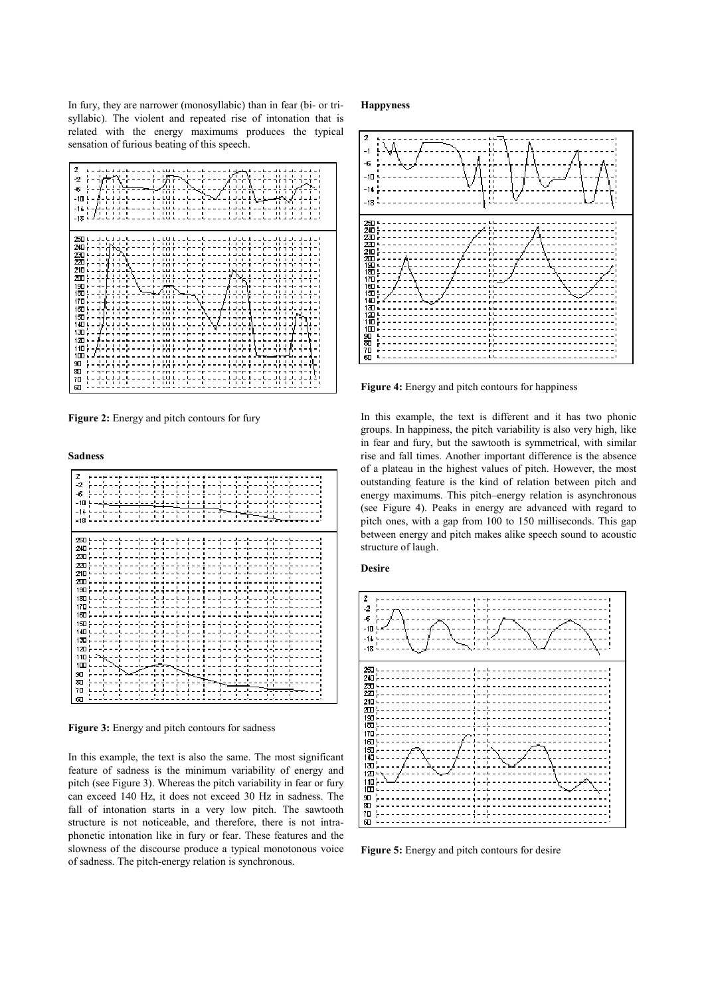In fury, they are narrower (monosyllabic) than in fear (bi- or trisyllabic). The violent and repeated rise of intonation that is related with the energy maximums produces the typical sensation of furious beating of this speech.

| 2<br>×.<br>٠<br>187<br>-2<br>c<br>r'ı ı<br>-6<br>FП<br>î<br>ī<br>٠<br><br>٠<br>-10<br>ı<br>٠<br><br>٠<br>-14<br>٠<br>٠<br><br>-18                                                                                                                                                                                                                                                                                                                                                                                                            |
|----------------------------------------------------------------------------------------------------------------------------------------------------------------------------------------------------------------------------------------------------------------------------------------------------------------------------------------------------------------------------------------------------------------------------------------------------------------------------------------------------------------------------------------------|
| 250 L<br>٠<br>٠<br>٠<br>٠<br><br>٠<br>٠<br>٠<br>٠<br>٠<br>٠<br>٠<br>٠<br>л<br>٠<br><br>շա¦-<br>Ť<br>230 L<br>1<br>٠<br>٠<br><br>٠<br>٠<br>220<br>г<br>210<br>×<br>٠<br>л<br>٠<br>٠<br>$\cdots$<br>п<br>٠<br>٠<br>٠<br>٠<br>٠<br><br>190<br>٠<br>180<br>ı<br>٠<br>ĩ<br>ī<br>٠<br>٠<br>٠<br><br>170<br>160<br>٠<br>٠<br>٠<br>٠<br>٠<br>٠<br>п<br>٠<br><br>٠<br>٠<br>150<br>г<br>140<br>۰<br>. .<br>$\blacksquare$<br>٠<br>ı<br>130<br>120<br>٠<br><b>I</b><br>r<br>$\blacksquare$<br>110<br>г-<br>100<br>٠<br>۱<br>٠<br>90<br><br>æ<br>70<br>வ |

**Figure 2:** Energy and pitch contours for fury

**Sadness**



**Figure 3:** Energy and pitch contours for sadness

In this example, the text is also the same. The most significant feature of sadness is the minimum variability of energy and pitch (see Figure 3). Whereas the pitch variability in fear or fury can exceed 140 Hz, it does not exceed 30 Hz in sadness. The fall of intonation starts in a very low pitch. The sawtooth structure is not noticeable, and therefore, there is not intraphonetic intonation like in fury or fear. These features and the slowness of the discourse produce a typical monotonous voice of sadness. The pitch-energy relation is synchronous.

#### **Happyness**



**Figure 4:** Energy and pitch contours for happiness

In this example, the text is different and it has two phonic groups. In happiness, the pitch variability is also very high, like in fear and fury, but the sawtooth is symmetrical, with similar rise and fall times. Another important difference is the absence of a plateau in the highest values of pitch. However, the most outstanding feature is the kind of relation between pitch and energy maximums. This pitch–energy relation is asynchronous (see Figure 4). Peaks in energy are advanced with regard to pitch ones, with a gap from 100 to 150 milliseconds. This gap between energy and pitch makes alike speech sound to acoustic structure of laugh.

#### **Desire**



**Figure 5:** Energy and pitch contours for desire